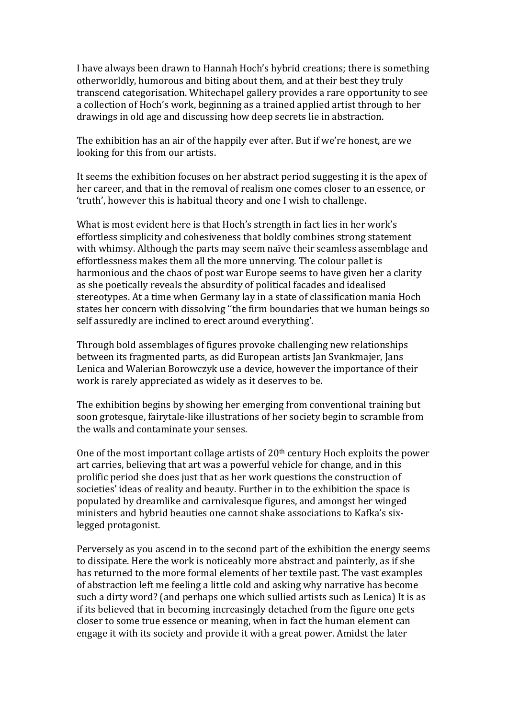I have always been drawn to Hannah Hoch's hybrid creations; there is something otherworldly, humorous and biting about them, and at their best they truly transcend categorisation. Whitechapel gallery provides a rare opportunity to see a collection of Hoch's work, beginning as a trained applied artist through to her drawings in old age and discussing how deep secrets lie in abstraction.

The exhibition has an air of the happily ever after. But if we're honest, are we looking for this from our artists.

It seems the exhibition focuses on her abstract period suggesting it is the apex of her career, and that in the removal of realism one comes closer to an essence, or 'truth', however this is habitual theory and one I wish to challenge.

What is most evident here is that Hoch's strength in fact lies in her work's effortless simplicity and cohesiveness that boldly combines strong statement with whimsy. Although the parts may seem naïve their seamless assemblage and effortlessness makes them all the more unnerving. The colour pallet is harmonious and the chaos of post war Europe seems to have given her a clarity as she poetically reveals the absurdity of political facades and idealised stereotypes. At a time when Germany lay in a state of classification mania Hoch states her concern with dissolving "the firm boundaries that we human beings so self assuredly are inclined to erect around everything'.

Through bold assemblages of figures provoke challenging new relationships between its fragmented parts, as did European artists Jan Svankmajer, Jans Lenica and Walerian Borowczyk use a device, however the importance of their work is rarely appreciated as widely as it deserves to be.

The exhibition begins by showing her emerging from conventional training but soon grotesque, fairytale-like illustrations of her society begin to scramble from the walls and contaminate your senses.

One of the most important collage artists of  $20<sup>th</sup>$  century Hoch exploits the power art carries, believing that art was a powerful vehicle for change, and in this prolific period she does just that as her work questions the construction of societies' ideas of reality and beauty. Further in to the exhibition the space is populated by dreamlike and carnivalesque figures, and amongst her winged ministers and hybrid beauties one cannot shake associations to Kafka's sixlegged protagonist.

Perversely as you ascend in to the second part of the exhibition the energy seems to dissipate. Here the work is noticeably more abstract and painterly, as if she has returned to the more formal elements of her textile past. The vast examples of abstraction left me feeling a little cold and asking why narrative has become such a dirty word? (and perhaps one which sullied artists such as Lenica) It is as if its believed that in becoming increasingly detached from the figure one gets closer to some true essence or meaning, when in fact the human element can engage it with its society and provide it with a great power. Amidst the later